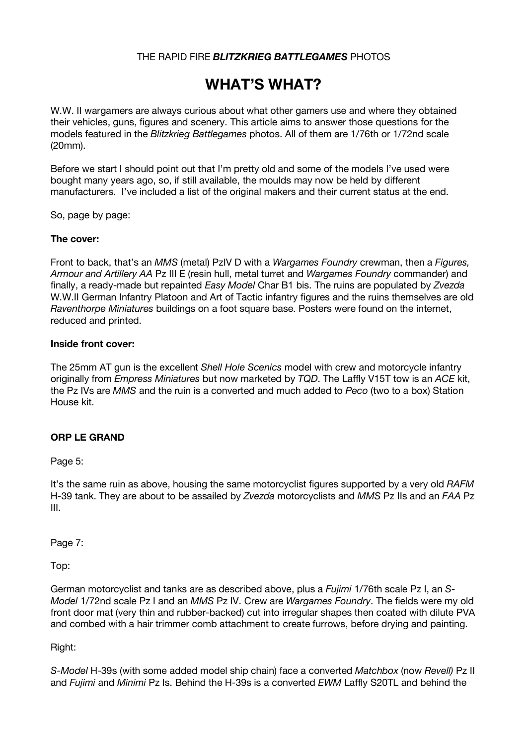## THE RAPID FIRE *BLITZKRIEG BATTLEGAMES* PHOTOS

# **WHAT'S WHAT?**

W.W. II wargamers are always curious about what other gamers use and where they obtained their vehicles, guns, figures and scenery. This article aims to answer those questions for the models featured in the *Blitzkrieg Battlegames* photos. All of them are 1/76th or 1/72nd scale (20mm).

Before we start I should point out that I'm pretty old and some of the models I've used were bought many years ago, so, if still available, the moulds may now be held by different manufacturers. I've included a list of the original makers and their current status at the end.

So, page by page:

#### **The cover:**

Front to back, that's an *MMS* (metal) PzIV D with a *Wargames Foundry* crewman, then a *Figures, Armour and Artillery AA* Pz III E (resin hull, metal turret and *Wargames Foundry* commander) and finally, a ready-made but repainted *Easy Model* Char B1 bis. The ruins are populated by *Zvezda* W.W.II German Infantry Platoon and Art of Tactic infantry figures and the ruins themselves are old *Raventhorpe Miniatures* buildings on a foot square base. Posters were found on the internet, reduced and printed.

#### **Inside front cover:**

The 25mm AT gun is the excellent *Shell Hole Scenics* model with crew and motorcycle infantry originally from *Empress Miniatures* but now marketed by *TQD*. The Laffly V15T tow is an *ACE* kit, the Pz IVs are *MMS* and the ruin is a converted and much added to *Peco* (two to a box) Station House kit.

## **ORP LE GRAND**

Page 5:

It's the same ruin as above, housing the same motorcyclist figures supported by a very old *RAFM* H-39 tank. They are about to be assailed by *Zvezda* motorcyclists and *MMS* Pz IIs and an *FAA* Pz III.

Page 7:

Top:

German motorcyclist and tanks are as described above, plus a *Fujimi* 1/76th scale Pz I, an *S-Model* 1/72nd scale Pz I and an *MMS* Pz IV. Crew are *Wargames Foundry*. The fields were my old front door mat (very thin and rubber-backed) cut into irregular shapes then coated with dilute PVA and combed with a hair trimmer comb attachment to create furrows, before drying and painting.

Right:

*S-Model* H-39s (with some added model ship chain) face a converted *Matchbox* (now *Revell)* Pz II and *Fujimi* and *Minimi* Pz Is. Behind the H-39s is a converted *EWM* Laffly S20TL and behind the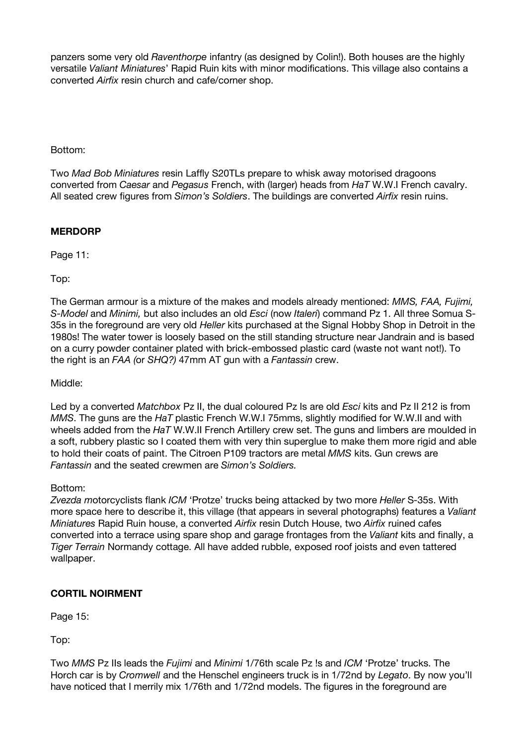panzers some very old *Raventhorpe* infantry (as designed by Colin!). Both houses are the highly versatile *Valiant Miniatures*' Rapid Ruin kits with minor modifications. This village also contains a converted *Airfix* resin church and cafe/corner shop.

Bottom:

Two *Mad Bob Miniatures* resin Laffly S20TLs prepare to whisk away motorised dragoons converted from *Caesar* and *Pegasus* French, with (larger) heads from *HaT* W.W.I French cavalry. All seated crew figures from *Simon's Soldiers*. The buildings are converted *Airfix* resin ruins.

## **MERDORP**

Page 11:

Top:

The German armour is a mixture of the makes and models already mentioned: *MMS, FAA, Fujimi, S-Model* and *Minimi,* but also includes an old *Esci* (now *Italeri*) command Pz 1. All three Somua S-35s in the foreground are very old *Heller* kits purchased at the Signal Hobby Shop in Detroit in the 1980s! The water tower is loosely based on the still standing structure near Jandrain and is based on a curry powder container plated with brick-embossed plastic card (waste not want not!). To the right is an *FAA (*or *SHQ?)* 47mm AT gun with a *Fantassin* crew.

Middle:

Led by a converted *Matchbox* Pz II, the dual coloured Pz Is are old *Esci* kits and Pz II 212 is from *MMS*. The guns are the *HaT* plastic French W.W.I 75mms, slightly modified for W.W.II and with wheels added from the *HaT* W.W.II French Artillery crew set. The guns and limbers are moulded in a soft, rubbery plastic so I coated them with very thin superglue to make them more rigid and able to hold their coats of paint. The Citroen P109 tractors are metal *MMS* kits. Gun crews are *Fantassin* and the seated crewmen are *Simon's Soldiers.*

## Bottom:

*Zvezda m*otorcyclists flank *ICM* 'Protze' trucks being attacked by two more *Heller* S-35s. With more space here to describe it, this village (that appears in several photographs) features a *Valiant Miniatures* Rapid Ruin house, a converted *Airfix* resin Dutch House, two *Airfix* ruined cafes converted into a terrace using spare shop and garage frontages from the *Valiant* kits and finally, a *Tiger Terrain* Normandy cottage. All have added rubble, exposed roof joists and even tattered wallpaper.

# **CORTIL NOIRMENT**

Page 15:

Top:

Two *MMS* Pz IIs leads the *Fujimi* and *Minimi* 1/76th scale Pz !s and *ICM* 'Protze' trucks. The Horch car is by *Cromwell* and the Henschel engineers truck is in 1/72nd by *Legato*. By now you'll have noticed that I merrily mix 1/76th and 1/72nd models. The figures in the foreground are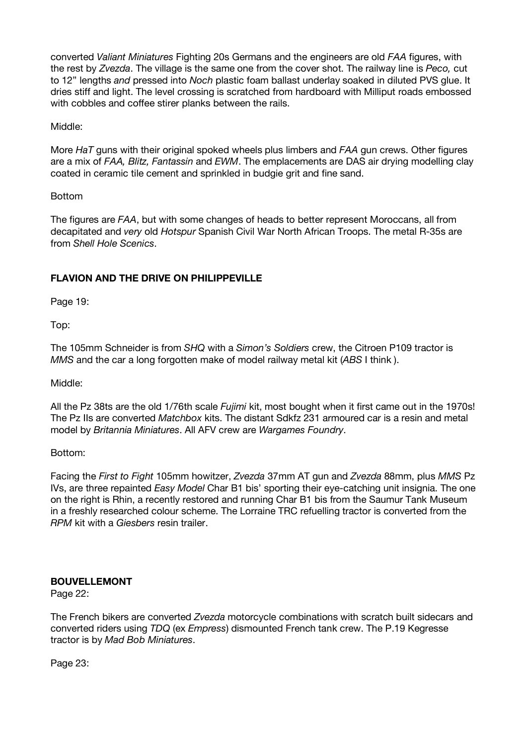converted *Valiant Miniatures* Fighting 20s Germans and the engineers are old *FAA* figures, with the rest by *Zvezda*. The village is the same one from the cover shot. The railway line is *Peco,* cut to 12" lengths *and* pressed into *Noch* plastic foam ballast underlay soaked in diluted PVS glue. It dries stiff and light. The level crossing is scratched from hardboard with Milliput roads embossed with cobbles and coffee stirer planks between the rails.

Middle:

More *HaT* guns with their original spoked wheels plus limbers and *FAA* gun crews. Other figures are a mix of *FAA, Blitz, Fantassin* and *EWM*. The emplacements are DAS air drying modelling clay coated in ceramic tile cement and sprinkled in budgie grit and fine sand.

## Bottom

The figures are *FAA*, but with some changes of heads to better represent Moroccans, all from decapitated and *very* old *Hotspur* Spanish Civil War North African Troops. The metal R-35s are from *Shell Hole Scenics*.

# **FLAVION AND THE DRIVE ON PHILIPPEVILLE**

Page 19:

Top:

The 105mm Schneider is from *SHQ* with a *Simon's Soldiers* crew, the Citroen P109 tractor is *MMS* and the car a long forgotten make of model railway metal kit (*ABS* I think ).

Middle:

All the Pz 38ts are the old 1/76th scale *Fujimi* kit, most bought when it first came out in the 1970s! The Pz IIs are converted *Matchbox* kits. The distant Sdkfz 231 armoured car is a resin and metal model by *Britannia Miniatures*. All AFV crew are *Wargames Foundry*.

Bottom:

Facing the *First to Fight* 105mm howitzer, *Zvezda* 37mm AT gun and *Zvezda* 88mm, plus *MMS* Pz IVs, are three repainted *Easy Model* Char B1 bis' sporting their eye-catching unit insignia. The one on the right is Rhin, a recently restored and running Char B1 bis from the Saumur Tank Museum in a freshly researched colour scheme. The Lorraine TRC refuelling tractor is converted from the *RPM* kit with a *Giesbers* resin trailer.

## **BOUVELLEMONT**

Page 22:

The French bikers are converted *Zvezda* motorcycle combinations with scratch built sidecars and converted riders using *TDQ* (ex *Empress*) dismounted French tank crew. The P.19 Kegresse tractor is by *Mad Bob Miniatures*.

Page 23: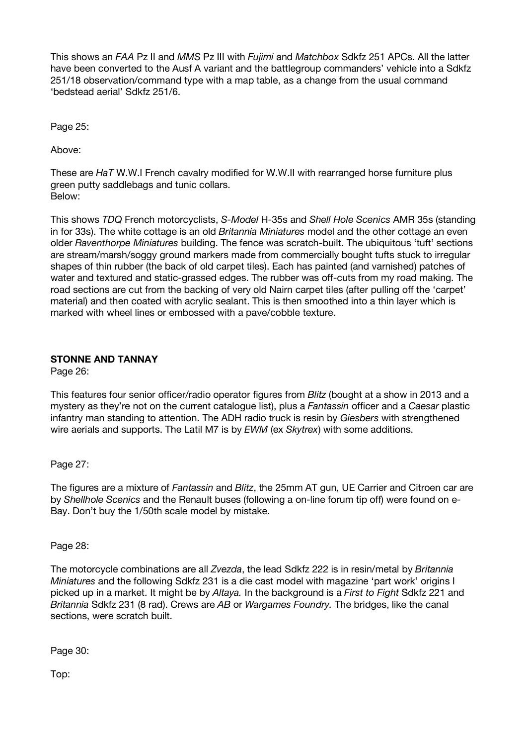This shows an *FAA* Pz II and *MMS* Pz III with *Fujimi* and *Matchbox* Sdkfz 251 APCs. All the latter have been converted to the Ausf A variant and the battlegroup commanders' vehicle into a Sdkfz 251/18 observation/command type with a map table, as a change from the usual command 'bedstead aerial' Sdkfz 251/6.

Page 25:

Above:

These are *HaT* W.W.I French cavalry modified for W.W.II with rearranged horse furniture plus green putty saddlebags and tunic collars. Below:

This shows *TDQ* French motorcyclists, *S-Model* H-35s and *Shell Hole Scenics* AMR 35s (standing in for 33s). The white cottage is an old *Britannia Miniatures* model and the other cottage an even older *Raventhorpe Miniatures* building. The fence was scratch-built. The ubiquitous 'tuft' sections are stream/marsh/soggy ground markers made from commercially bought tufts stuck to irregular shapes of thin rubber (the back of old carpet tiles). Each has painted (and varnished) patches of water and textured and static-grassed edges. The rubber was off-cuts from my road making. The road sections are cut from the backing of very old Nairn carpet tiles (after pulling off the 'carpet' material) and then coated with acrylic sealant. This is then smoothed into a thin layer which is marked with wheel lines or embossed with a pave/cobble texture.

## **STONNE AND TANNAY**

Page 26:

This features four senior officer/radio operator figures from *Blitz* (bought at a show in 2013 and a mystery as they're not on the current catalogue list), plus a *Fantassin* officer and a *Caesar* plastic infantry man standing to attention. The ADH radio truck is resin by *Giesbers* with strengthened wire aerials and supports. The Latil M7 is by *EWM* (ex *Skytrex*) with some additions.

Page 27:

The figures are a mixture of *Fantassin* and *Blitz*, the 25mm AT gun, UE Carrier and Citroen car are by *Shellhole Scenics* and the Renault buses (following a on-line forum tip off) were found on e-Bay. Don't buy the 1/50th scale model by mistake.

Page 28:

The motorcycle combinations are all *Zvezda*, the lead Sdkfz 222 is in resin/metal by *Britannia Miniatures* and the following Sdkfz 231 is a die cast model with magazine 'part work' origins I picked up in a market. It might be by *Altaya.* In the background is a *First to Fight* Sdkfz 221 and *Britannia* Sdkfz 231 (8 rad). Crews are *AB* or *Wargames Foundry.* The bridges, like the canal sections, were scratch built.

Page 30:

Top: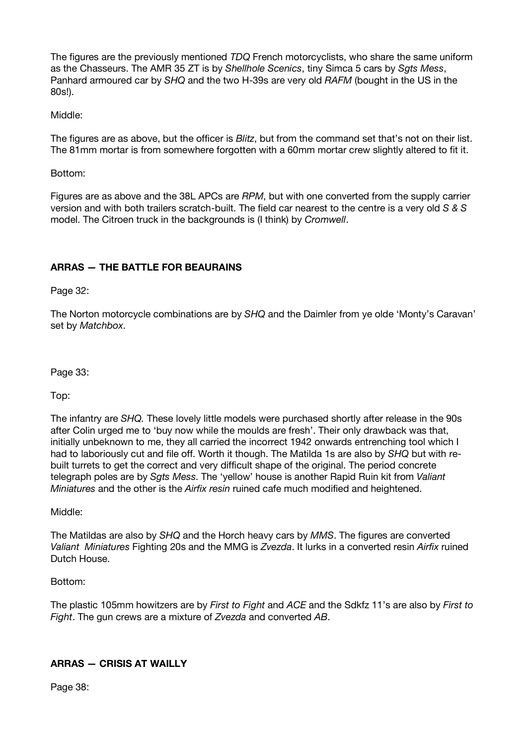The figures are the previously mentioned *TDQ* French motorcyclists, who share the same uniform as the Chasseurs. The AMR 35 ZT is by *Shellhole Scenics*, tiny Simca 5 cars by *Sgts Mess*, Panhard armoured car by *SHQ* and the two H-39s are very old *RAFM* (bought in the US in the 80s!).

## Middle:

The figures are as above, but the officer is *Blitz*, but from the command set that's not on their list. The 81mm mortar is from somewhere forgotten with a 60mm mortar crew slightly altered to fit it.

Bottom:

Figures are as above and the 38L APCs are *RPM*, but with one converted from the supply carrier version and with both trailers scratch-built. The field car nearest to the centre is a very old *S & S* model. The Citroen truck in the backgrounds is (I think) by *Cromwell*.

# **ARRAS — THE BATTLE FOR BEAURAINS**

Page 32:

The Norton motorcycle combinations are by *SHQ* and the Daimler from ye olde 'Monty's Caravan' set by *Matchbox*.

Page 33:

Top:

The infantry are *SHQ.* These lovely little models were purchased shortly after release in the 90s after Colin urged me to 'buy now while the moulds are fresh'. Their only drawback was that, initially unbeknown to me, they all carried the incorrect 1942 onwards entrenching tool which I had to laboriously cut and file off. Worth it though. The Matilda 1s are also by *SHQ* but with rebuilt turrets to get the correct and very difficult shape of the original. The period concrete telegraph poles are by *Sgts Mess*. The 'yellow' house is another Rapid Ruin kit from *Valiant Miniatures* and the other is the *Airfix resin* ruined cafe much modified and heightened.

Middle:

The Matildas are also by *SHQ* and the Horch heavy cars by *MMS*. The figures are converted *Valiant Miniatures* Fighting 20s and the MMG is *Zvezda*. It lurks in a converted resin *Airfix* ruined Dutch House.

Bottom:

The plastic 105mm howitzers are by *First to Fight* and *ACE* and the Sdkfz 11's are also by *First to Fight*. The gun crews are a mixture of *Zvezda* and converted *AB*.

# **ARRAS — CRISIS AT WAILLY**

Page 38: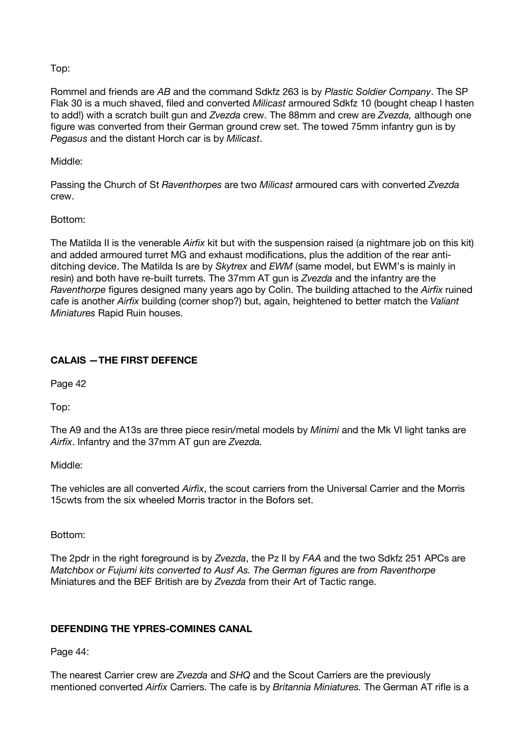## Top:

Rommel and friends are *AB* and the command Sdkfz 263 is by *Plastic Soldier Company*. The SP Flak 30 is a much shaved, filed and converted *Milicast* armoured Sdkfz 10 (bought cheap I hasten to add!) with a scratch built gun and *Zvezda* crew. The 88mm and crew are *Zvezda,* although one figure was converted from their German ground crew set. The towed 75mm infantry gun is by *Pegasus* and the distant Horch car is by *Milicast*.

## Middle:

Passing the Church of St *Raventhorpes* are two *Milicast* armoured cars with converted *Zvezda* crew.

## Bottom:

The Matilda II is the venerable *Airfix* kit but with the suspension raised (a nightmare job on this kit) and added armoured turret MG and exhaust modifications, plus the addition of the rear antiditching device. The Matilda Is are by *Skytrex* and *EWM* (same model, but EWM's is mainly in resin) and both have re-built turrets. The 37mm AT gun is *Zvezda* and the infantry are the *Raventhorpe* figures designed many years ago by Colin. The building attached to the *Airfix* ruined cafe is another *Airfix* building (corner shop?) but, again, heightened to better match the *Valiant Miniatures* Rapid Ruin houses.

# **CALAIS —THE FIRST DEFENCE**

Page 42

Top:

The A9 and the A13s are three piece resin/metal models by *Minimi* and the Mk VI light tanks are *Airfix*. Infantry and the 37mm AT gun are *Zvezda.*

## Middle:

The vehicles are all converted *Airfix*, the scout carriers from the Universal Carrier and the Morris 15cwts from the six wheeled Morris tractor in the Bofors set.

Bottom:

The 2pdr in the right foreground is by *Zvezda*, the Pz II by *FAA* and the two Sdkfz 251 APCs are *Matchbox or Fujumi kits converted to Ausf As. The German figures are from Raventhorpe* Miniatures and the BEF British are by *Zvezda* from their Art of Tactic range.

# **DEFENDING THE YPRES-COMINES CANAL**

Page 44:

The nearest Carrier crew are *Zvezda* and *SHQ* and the Scout Carriers are the previously mentioned converted *Airfix* Carriers. The cafe is by *Britannia Miniatures.* The German AT rifle is a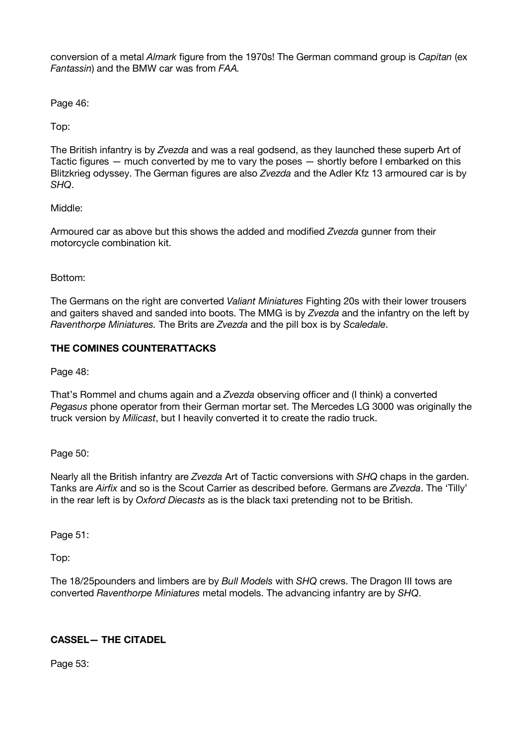conversion of a metal *Almark* figure from the 1970s! The German command group is *Capitan* (ex *Fantassin*) and the BMW car was from *FAA.*

Page 46:

Top:

The British infantry is by *Zvezda* and was a real godsend, as they launched these superb Art of Tactic figures — much converted by me to vary the poses — shortly before I embarked on this Blitzkrieg odyssey. The German figures are also *Zvezda* and the Adler Kfz 13 armoured car is by *SHQ*.

## Middle:

Armoured car as above but this shows the added and modified *Zvezda* gunner from their motorcycle combination kit.

Bottom:

The Germans on the right are converted *Valiant Miniatures* Fighting 20s with their lower trousers and gaiters shaved and sanded into boots. The MMG is by *Zvezda* and the infantry on the left by *Raventhorpe Miniatures.* The Brits are *Zvezda* and the pill box is by *Scaledale*.

# **THE COMINES COUNTERATTACKS**

Page 48:

That's Rommel and chums again and a *Zvezda* observing officer and (I think) a converted *Pegasus* phone operator from their German mortar set. The Mercedes LG 3000 was originally the truck version by *Milicast*, but I heavily converted it to create the radio truck.

Page 50:

Nearly all the British infantry are *Zvezda* Art of Tactic conversions with *SHQ* chaps in the garden. Tanks are *Airfix* and so is the Scout Carrier as described before. Germans are *Zvezda*. The 'Tilly' in the rear left is by *Oxford Diecasts* as is the black taxi pretending not to be British.

Page 51:

Top:

The 18/25pounders and limbers are by *Bull Models* with *SHQ* crews. The Dragon III tows are converted *Raventhorpe Miniatures* metal models. The advancing infantry are by *SHQ*.

# **CASSEL— THE CITADEL**

Page 53: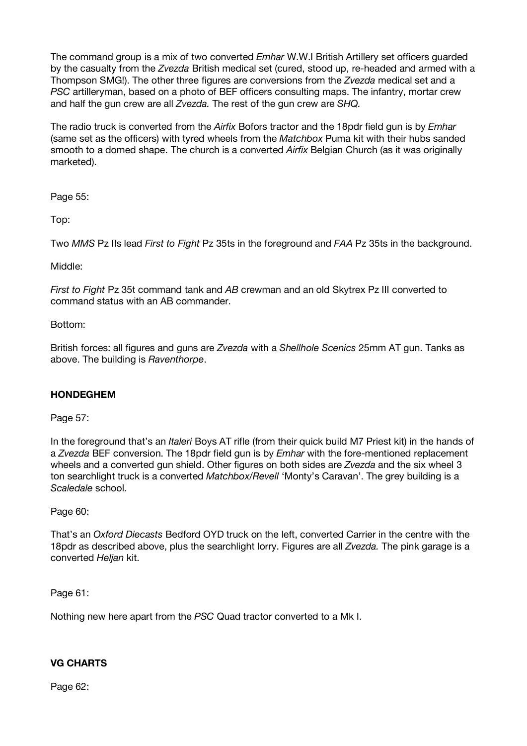The command group is a mix of two converted *Emhar* W.W.I British Artillery set officers guarded by the casualty from the *Zvezda* British medical set (cured, stood up, re-headed and armed with a Thompson SMG!). The other three figures are conversions from the *Zvezda* medical set and a *PSC* artilleryman, based on a photo of BEF officers consulting maps. The infantry, mortar crew and half the gun crew are all *Zvezda.* The rest of the gun crew are *SHQ.*

The radio truck is converted from the *Airfix* Bofors tractor and the 18pdr field gun is by *Emhar* (same set as the officers) with tyred wheels from the *Matchbox* Puma kit with their hubs sanded smooth to a domed shape. The church is a converted *Airfix* Belgian Church (as it was originally marketed).

Page 55:

Top:

Two *MMS* Pz IIs lead *First to Fight* Pz 35ts in the foreground and *FAA* Pz 35ts in the background.

Middle:

*First to Fight* Pz 35t command tank and *AB* crewman and an old Skytrex Pz III converted to command status with an AB commander.

## Bottom:

British forces: all figures and guns are *Zvezda* with a *Shellhole Scenics* 25mm AT gun. Tanks as above. The building is *Raventhorpe*.

## **HONDEGHEM**

Page 57:

In the foreground that's an *Italeri* Boys AT rifle (from their quick build M7 Priest kit) in the hands of a *Zvezda* BEF conversion. The 18pdr field gun is by *Emhar* with the fore-mentioned replacement wheels and a converted gun shield. Other figures on both sides are *Zvezda* and the six wheel 3 ton searchlight truck is a converted *Matchbox/Revell* 'Monty's Caravan'. The grey building is a *Scaledale* school.

## Page 60:

That's an *Oxford Diecasts* Bedford OYD truck on the left, converted Carrier in the centre with the 18pdr as described above, plus the searchlight lorry. Figures are all *Zvezda.* The pink garage is a converted *Heljan* kit.

Page 61:

Nothing new here apart from the *PSC* Quad tractor converted to a Mk I.

# **VG CHARTS**

Page 62: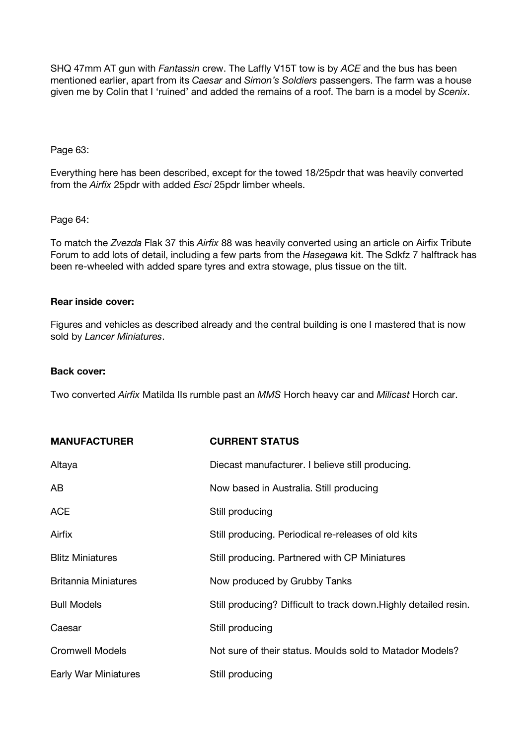SHQ 47mm AT gun with *Fantassin* crew. The Laffly V15T tow is by *ACE* and the bus has been mentioned earlier, apart from its *Caesar* and *Simon's Soldiers* passengers. The farm was a house given me by Colin that I 'ruined' and added the remains of a roof. The barn is a model by *Scenix*.

#### Page 63:

Everything here has been described, except for the towed 18/25pdr that was heavily converted from the *Airfix* 25pdr with added *Esci* 25pdr limber wheels.

#### Page 64:

To match the *Zvezda* Flak 37 this *Airfix* 88 was heavily converted using an article on Airfix Tribute Forum to add lots of detail, including a few parts from the *Hasegawa* kit. The Sdkfz 7 halftrack has been re-wheeled with added spare tyres and extra stowage, plus tissue on the tilt.

#### **Rear inside cover:**

Figures and vehicles as described already and the central building is one I mastered that is now sold by *Lancer Miniatures*.

#### **Back cover:**

Two converted *Airfix* Matilda IIs rumble past an *MMS* Horch heavy car and *Milicast* Horch car.

| <b>MANUFACTURER</b>         | <b>CURRENT STATUS</b>                                            |
|-----------------------------|------------------------------------------------------------------|
| Altaya                      | Diecast manufacturer. I believe still producing.                 |
| AB                          | Now based in Australia. Still producing                          |
| <b>ACE</b>                  | Still producing                                                  |
| Airfix                      | Still producing. Periodical re-releases of old kits              |
| <b>Blitz Miniatures</b>     | Still producing. Partnered with CP Miniatures                    |
| <b>Britannia Miniatures</b> | Now produced by Grubby Tanks                                     |
| <b>Bull Models</b>          | Still producing? Difficult to track down. Highly detailed resin. |
| Caesar                      | Still producing                                                  |
| <b>Cromwell Models</b>      | Not sure of their status. Moulds sold to Matador Models?         |
| Early War Miniatures        | Still producing                                                  |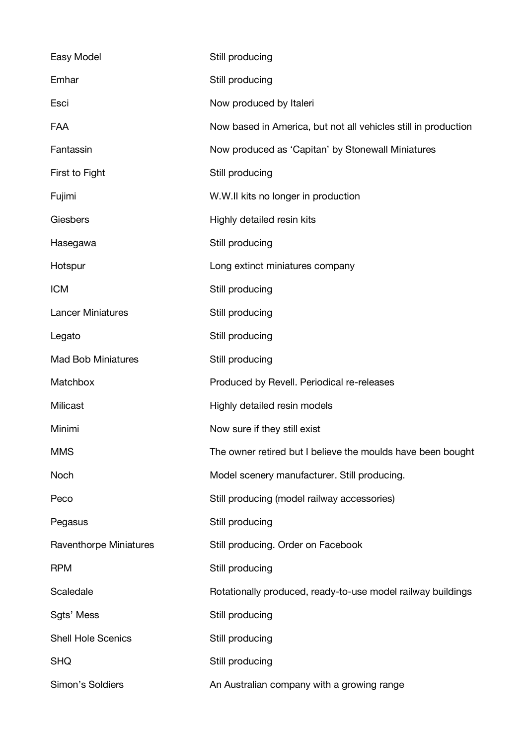| Easy Model                | Still producing                                                |
|---------------------------|----------------------------------------------------------------|
| Emhar                     | Still producing                                                |
| Esci                      | Now produced by Italeri                                        |
| FAA                       | Now based in America, but not all vehicles still in production |
| Fantassin                 | Now produced as 'Capitan' by Stonewall Miniatures              |
| First to Fight            | Still producing                                                |
| Fujimi                    | W.W.II kits no longer in production                            |
| Giesbers                  | Highly detailed resin kits                                     |
| Hasegawa                  | Still producing                                                |
| Hotspur                   | Long extinct miniatures company                                |
| <b>ICM</b>                | Still producing                                                |
| <b>Lancer Miniatures</b>  | Still producing                                                |
| Legato                    | Still producing                                                |
| <b>Mad Bob Miniatures</b> | Still producing                                                |
| Matchbox                  | Produced by Revell. Periodical re-releases                     |
| Milicast                  | Highly detailed resin models                                   |
| Minimi                    | Now sure if they still exist                                   |
| <b>MMS</b>                | The owner retired but I believe the moulds have been bought    |
| Noch                      | Model scenery manufacturer. Still producing.                   |
| Peco                      | Still producing (model railway accessories)                    |
| Pegasus                   | Still producing                                                |
| Raventhorpe Miniatures    | Still producing. Order on Facebook                             |
| <b>RPM</b>                | Still producing                                                |
| Scaledale                 | Rotationally produced, ready-to-use model railway buildings    |
| Sgts' Mess                | Still producing                                                |
| <b>Shell Hole Scenics</b> | Still producing                                                |
| <b>SHQ</b>                | Still producing                                                |
| Simon's Soldiers          | An Australian company with a growing range                     |